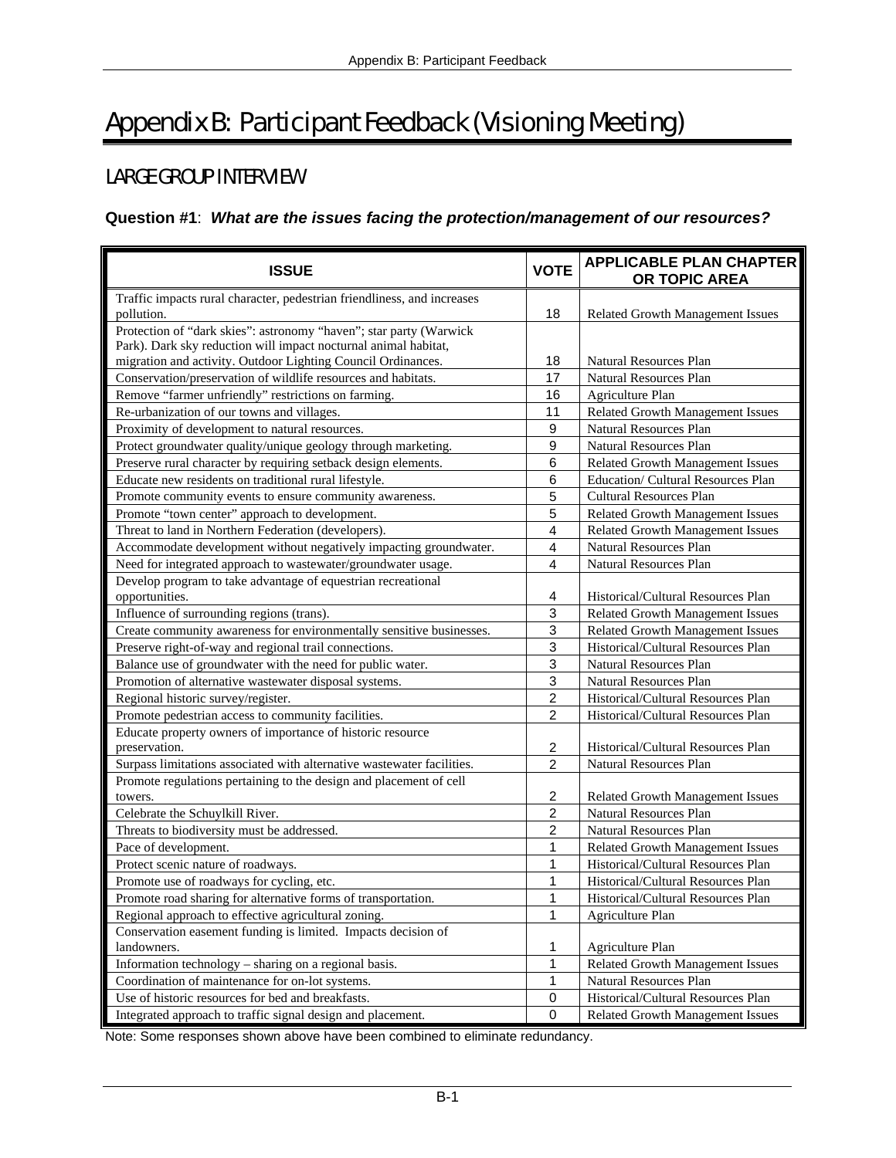# Appendix B: Participant Feedback (Visioning Meeting)

# LARGE GROUP INTERVIEW

## **Question #1**: *What are the issues facing the protection/management of our resources?*

| <b>ISSUE</b>                                                                                                                          | <b>VOTE</b>    | <b>APPLICABLE PLAN CHAPTER</b><br>OR TOPIC AREA                |
|---------------------------------------------------------------------------------------------------------------------------------------|----------------|----------------------------------------------------------------|
| Traffic impacts rural character, pedestrian friendliness, and increases<br>pollution.                                                 | 18             | Related Growth Management Issues                               |
| Protection of "dark skies": astronomy "haven"; star party (Warwick<br>Park). Dark sky reduction will impact nocturnal animal habitat, |                |                                                                |
| migration and activity. Outdoor Lighting Council Ordinances.<br>Conservation/preservation of wildlife resources and habitats.         | 18<br>17       | <b>Natural Resources Plan</b><br><b>Natural Resources Plan</b> |
| Remove "farmer unfriendly" restrictions on farming.                                                                                   | 16             | Agriculture Plan                                               |
| Re-urbanization of our towns and villages.                                                                                            | 11             | Related Growth Management Issues                               |
| Proximity of development to natural resources.                                                                                        | 9              | <b>Natural Resources Plan</b>                                  |
| Protect groundwater quality/unique geology through marketing.                                                                         | 9              | <b>Natural Resources Plan</b>                                  |
| Preserve rural character by requiring setback design elements.                                                                        | 6              | Related Growth Management Issues                               |
| Educate new residents on traditional rural lifestyle.                                                                                 | 6              | Education/ Cultural Resources Plan                             |
| Promote community events to ensure community awareness.                                                                               | 5              | <b>Cultural Resources Plan</b>                                 |
| Promote "town center" approach to development.                                                                                        | 5              | Related Growth Management Issues                               |
| Threat to land in Northern Federation (developers).                                                                                   | $\overline{4}$ | Related Growth Management Issues                               |
| Accommodate development without negatively impacting groundwater.                                                                     | $\overline{4}$ | <b>Natural Resources Plan</b>                                  |
| Need for integrated approach to wastewater/groundwater usage.                                                                         | 4              | <b>Natural Resources Plan</b>                                  |
| Develop program to take advantage of equestrian recreational                                                                          |                |                                                                |
| opportunities.                                                                                                                        | 4              | Historical/Cultural Resources Plan                             |
| Influence of surrounding regions (trans).                                                                                             | 3              | Related Growth Management Issues                               |
| Create community awareness for environmentally sensitive businesses.                                                                  | 3              | Related Growth Management Issues                               |
| Preserve right-of-way and regional trail connections.                                                                                 | 3              | Historical/Cultural Resources Plan                             |
| Balance use of groundwater with the need for public water.                                                                            | 3              | Natural Resources Plan                                         |
| Promotion of alternative wastewater disposal systems.                                                                                 | 3              | Natural Resources Plan                                         |
| Regional historic survey/register.                                                                                                    | $\overline{2}$ | Historical/Cultural Resources Plan                             |
| Promote pedestrian access to community facilities.                                                                                    | $\overline{2}$ | Historical/Cultural Resources Plan                             |
| Educate property owners of importance of historic resource<br>preservation.                                                           | $\overline{c}$ | Historical/Cultural Resources Plan                             |
| Surpass limitations associated with alternative wastewater facilities.                                                                | $\overline{2}$ | <b>Natural Resources Plan</b>                                  |
| Promote regulations pertaining to the design and placement of cell<br>towers.                                                         | $\overline{c}$ | <b>Related Growth Management Issues</b>                        |
| Celebrate the Schuylkill River.                                                                                                       | $\overline{c}$ | <b>Natural Resources Plan</b>                                  |
| Threats to biodiversity must be addressed.                                                                                            | 2              | <b>Natural Resources Plan</b>                                  |
| Pace of development.                                                                                                                  | 1              | Related Growth Management Issues                               |
| Protect scenic nature of roadways.                                                                                                    | 1              | Historical/Cultural Resources Plan                             |
| Promote use of roadways for cycling, etc.                                                                                             | 1              | Historical/Cultural Resources Plan                             |
| Promote road sharing for alternative forms of transportation.                                                                         | 1              | Historical/Cultural Resources Plan                             |
| Regional approach to effective agricultural zoning.                                                                                   | 1              | Agriculture Plan                                               |
| Conservation easement funding is limited. Impacts decision of                                                                         |                |                                                                |
| landowners.                                                                                                                           | 1              | Agriculture Plan                                               |
| Information technology - sharing on a regional basis.                                                                                 | 1              | Related Growth Management Issues                               |
| Coordination of maintenance for on-lot systems.                                                                                       | 1              | Natural Resources Plan                                         |
| Use of historic resources for bed and breakfasts.                                                                                     | 0              | Historical/Cultural Resources Plan                             |
| Integrated approach to traffic signal design and placement.                                                                           | $\pmb{0}$      | <b>Related Growth Management Issues</b>                        |

Note: Some responses shown above have been combined to eliminate redundancy.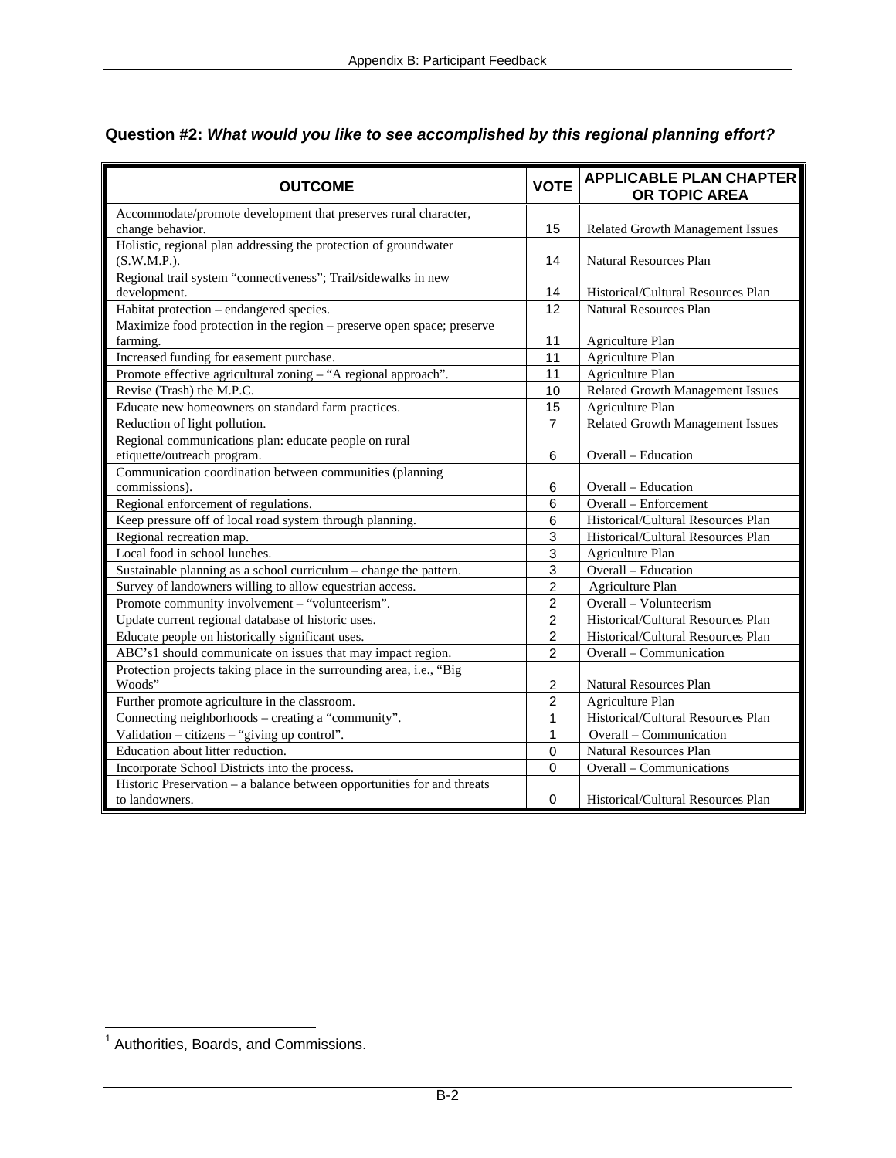| <b>OUTCOME</b>                                                          | <b>VOTE</b>    | <b>APPLICABLE PLAN CHAPTER</b><br>OR TOPIC AREA |
|-------------------------------------------------------------------------|----------------|-------------------------------------------------|
| Accommodate/promote development that preserves rural character,         |                |                                                 |
| change behavior.                                                        | 15             | <b>Related Growth Management Issues</b>         |
| Holistic, regional plan addressing the protection of groundwater        |                |                                                 |
| (S.W.M.P.).                                                             | 14             | <b>Natural Resources Plan</b>                   |
| Regional trail system "connectiveness"; Trail/sidewalks in new          |                |                                                 |
| development.                                                            | 14             | Historical/Cultural Resources Plan              |
| Habitat protection - endangered species.                                | 12             | <b>Natural Resources Plan</b>                   |
| Maximize food protection in the region – preserve open space; preserve  |                |                                                 |
| farming.                                                                | 11             | Agriculture Plan                                |
| Increased funding for easement purchase.                                | 11             | <b>Agriculture Plan</b>                         |
| Promote effective agricultural zoning - "A regional approach".          | 11             | Agriculture Plan                                |
| Revise (Trash) the M.P.C.                                               | 10             | <b>Related Growth Management Issues</b>         |
| Educate new homeowners on standard farm practices.                      | 15             | Agriculture Plan                                |
| Reduction of light pollution.                                           | $\overline{7}$ | <b>Related Growth Management Issues</b>         |
| Regional communications plan: educate people on rural                   |                |                                                 |
| etiquette/outreach program.                                             | 6              | Overall - Education                             |
| Communication coordination between communities (planning                |                |                                                 |
| commissions).                                                           | 6              | Overall – Education                             |
| Regional enforcement of regulations.                                    | 6              | Overall - Enforcement                           |
| Keep pressure off of local road system through planning.                | 6              | Historical/Cultural Resources Plan              |
| Regional recreation map.                                                | 3              | Historical/Cultural Resources Plan              |
| Local food in school lunches.                                           | 3              | Agriculture Plan                                |
| Sustainable planning as a school curriculum - change the pattern.       | 3              | Overall - Education                             |
| Survey of landowners willing to allow equestrian access.                | $\overline{2}$ | Agriculture Plan                                |
| Promote community involvement - "volunteerism".                         | $\overline{2}$ | Overall - Volunteerism                          |
| Update current regional database of historic uses.                      | $\overline{2}$ | Historical/Cultural Resources Plan              |
| Educate people on historically significant uses.                        | $\overline{c}$ | Historical/Cultural Resources Plan              |
| ABC's1 should communicate on issues that may impact region.             | $\overline{2}$ | Overall - Communication                         |
| Protection projects taking place in the surrounding area, i.e., "Big    |                |                                                 |
| Woods"                                                                  | 2              | Natural Resources Plan                          |
| Further promote agriculture in the classroom.                           | 2              | Agriculture Plan                                |
| Connecting neighborhoods - creating a "community".                      | 1              | Historical/Cultural Resources Plan              |
| Validation - citizens - "giving up control".                            | 1              | Overall - Communication                         |
| Education about litter reduction.                                       | $\mathbf 0$    | Natural Resources Plan                          |
| Incorporate School Districts into the process.                          | $\mathbf 0$    | Overall - Communications                        |
| Historic Preservation – a balance between opportunities for and threats |                |                                                 |
| to landowners.                                                          | $\mathbf 0$    | Historical/Cultural Resources Plan              |

# **Question #2:** *What would you like to see accomplished by this regional planning effort?*

 1 Authorities, Boards, and Commissions.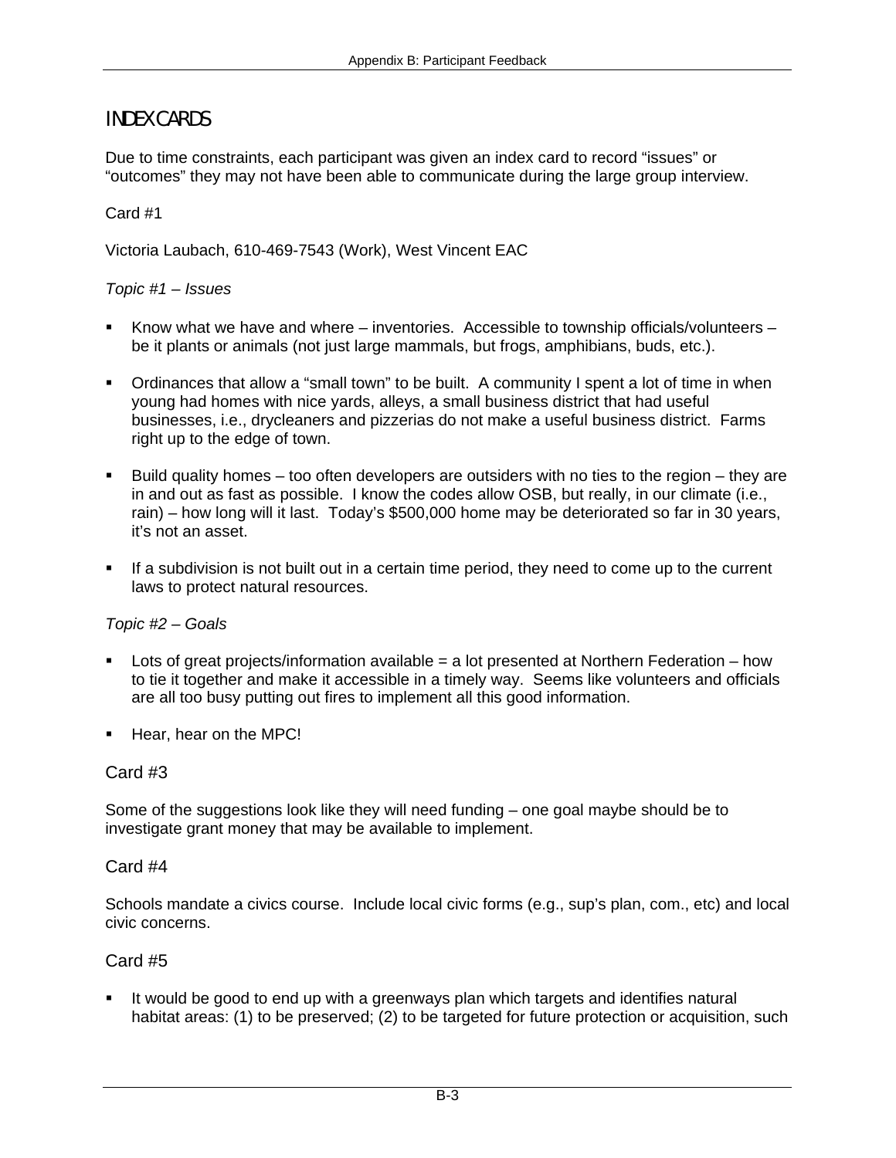# INDEX CARDS

Due to time constraints, each participant was given an index card to record "issues" or "outcomes" they may not have been able to communicate during the large group interview.

#### Card #1

Victoria Laubach, 610-469-7543 (Work), West Vincent EAC

#### *Topic #1 – Issues*

- Know what we have and where inventories. Accessible to township officials/volunteers be it plants or animals (not just large mammals, but frogs, amphibians, buds, etc.).
- Ordinances that allow a "small town" to be built. A community I spent a lot of time in when young had homes with nice yards, alleys, a small business district that had useful businesses, i.e., drycleaners and pizzerias do not make a useful business district. Farms right up to the edge of town.
- Build quality homes too often developers are outsiders with no ties to the region they are in and out as fast as possible. I know the codes allow OSB, but really, in our climate (i.e., rain) – how long will it last. Today's \$500,000 home may be deteriorated so far in 30 years, it's not an asset.
- If a subdivision is not built out in a certain time period, they need to come up to the current laws to protect natural resources.

#### *Topic #2 – Goals*

- Lots of great projects/information available  $=$  a lot presented at Northern Federation how to tie it together and make it accessible in a timely way. Seems like volunteers and officials are all too busy putting out fires to implement all this good information.
- Hear, hear on the MPC!

#### Card #3

Some of the suggestions look like they will need funding – one goal maybe should be to investigate grant money that may be available to implement.

#### Card #4

Schools mandate a civics course. Include local civic forms (e.g., sup's plan, com., etc) and local civic concerns.

#### Card #5

 It would be good to end up with a greenways plan which targets and identifies natural habitat areas: (1) to be preserved; (2) to be targeted for future protection or acquisition, such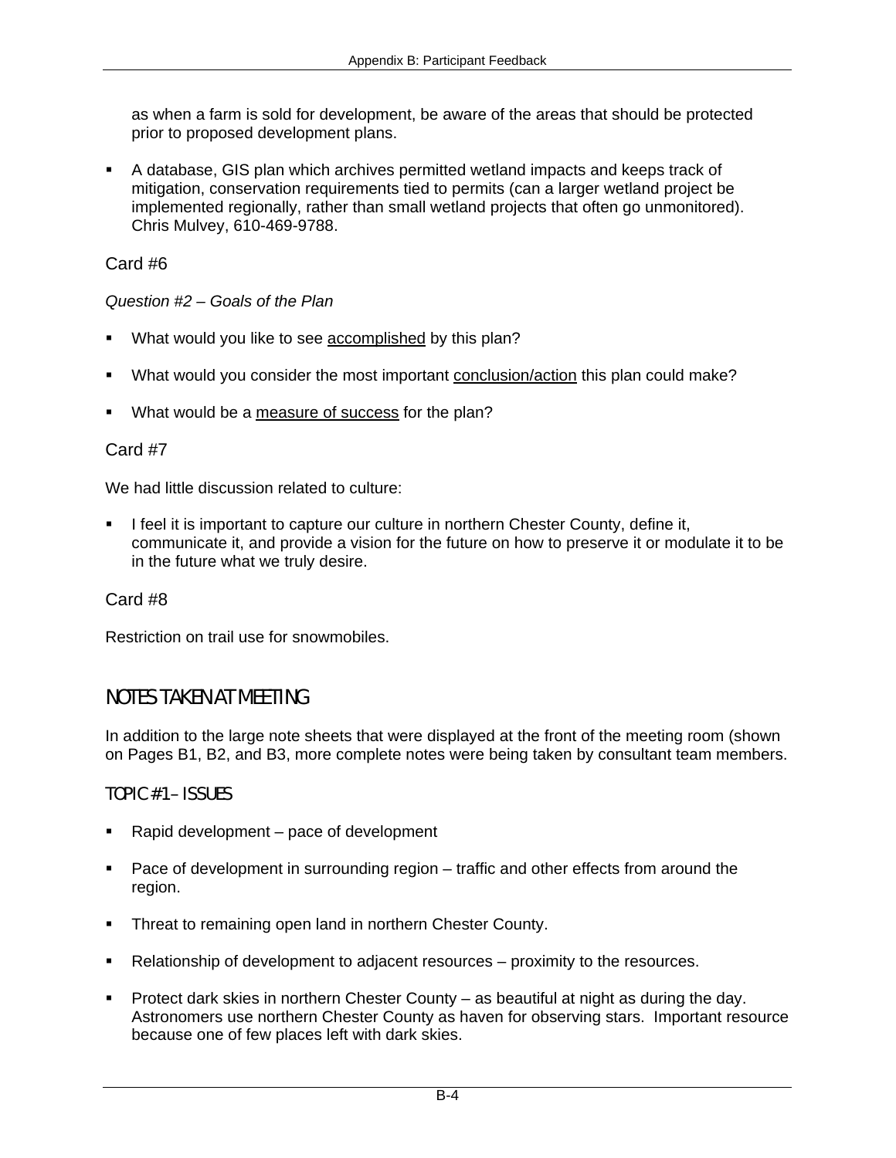as when a farm is sold for development, be aware of the areas that should be protected prior to proposed development plans.

 A database, GIS plan which archives permitted wetland impacts and keeps track of mitigation, conservation requirements tied to permits (can a larger wetland project be implemented regionally, rather than small wetland projects that often go unmonitored). Chris Mulvey, 610-469-9788.

Card #6

*Question #2 – Goals of the Plan* 

- What would you like to see accomplished by this plan?
- What would you consider the most important conclusion/action this plan could make?
- What would be a measure of success for the plan?

### Card #7

We had little discussion related to culture:

 I feel it is important to capture our culture in northern Chester County, define it, communicate it, and provide a vision for the future on how to preserve it or modulate it to be in the future what we truly desire.

Card #8

Restriction on trail use for snowmobiles.

## NOTES TAKEN AT MEETING

In addition to the large note sheets that were displayed at the front of the meeting room (shown on Pages B1, B2, and B3, more complete notes were being taken by consultant team members.

## TOPIC #1 – ISSUES

- Rapid development pace of development
- **Pace of development in surrounding region traffic and other effects from around the** region.
- Threat to remaining open land in northern Chester County.
- Relationship of development to adjacent resources proximity to the resources.
- Protect dark skies in northern Chester County as beautiful at night as during the day. Astronomers use northern Chester County as haven for observing stars. Important resource because one of few places left with dark skies.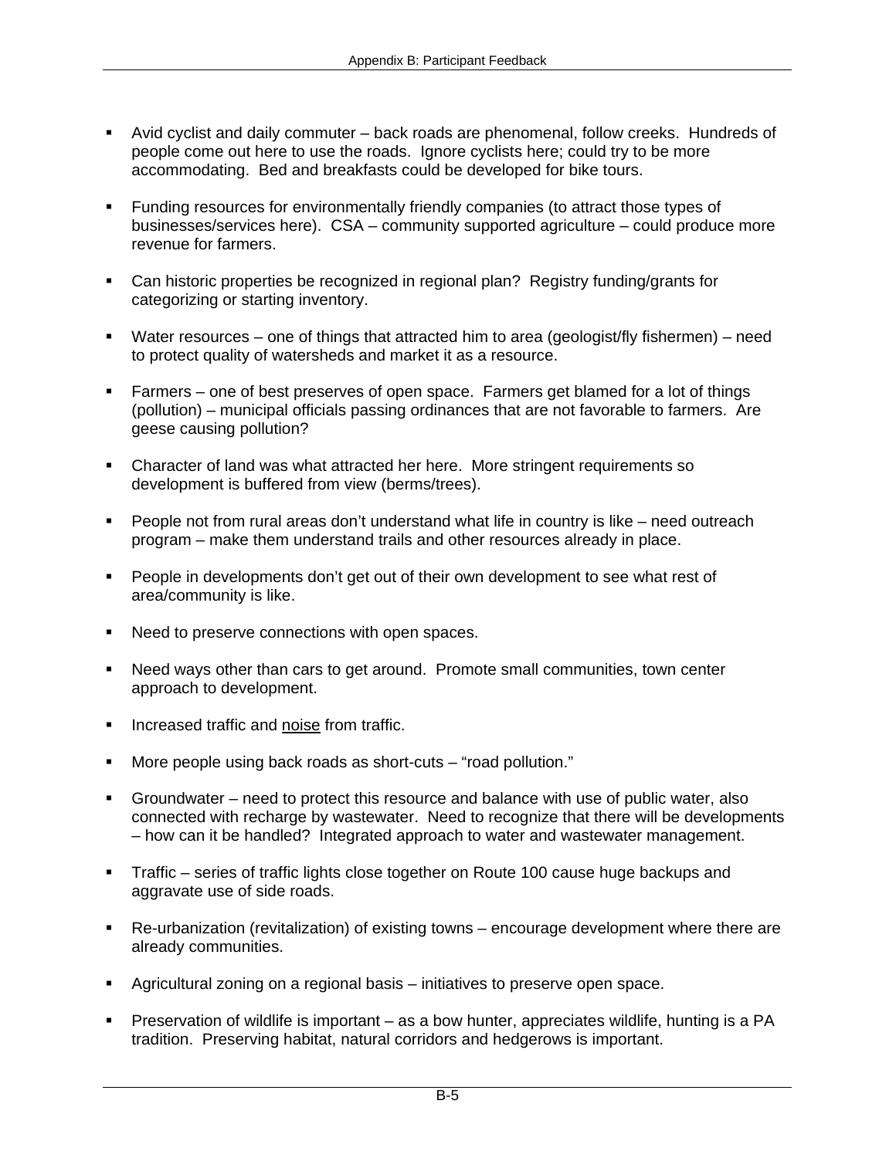- Avid cyclist and daily commuter back roads are phenomenal, follow creeks. Hundreds of people come out here to use the roads. Ignore cyclists here; could try to be more accommodating. Bed and breakfasts could be developed for bike tours.
- Funding resources for environmentally friendly companies (to attract those types of businesses/services here). CSA – community supported agriculture – could produce more revenue for farmers.
- Can historic properties be recognized in regional plan? Registry funding/grants for categorizing or starting inventory.
- Water resources one of things that attracted him to area (geologist/fly fishermen) need to protect quality of watersheds and market it as a resource.
- Farmers one of best preserves of open space. Farmers get blamed for a lot of things (pollution) – municipal officials passing ordinances that are not favorable to farmers. Are geese causing pollution?
- Character of land was what attracted her here. More stringent requirements so development is buffered from view (berms/trees).
- People not from rural areas don't understand what life in country is like need outreach program – make them understand trails and other resources already in place.
- **People in developments don't get out of their own development to see what rest of** area/community is like.
- Need to preserve connections with open spaces.
- Need ways other than cars to get around. Promote small communities, town center approach to development.
- **Increased traffic and noise from traffic.**
- More people using back roads as short-cuts "road pollution."
- Groundwater need to protect this resource and balance with use of public water, also connected with recharge by wastewater. Need to recognize that there will be developments – how can it be handled? Integrated approach to water and wastewater management.
- Traffic series of traffic lights close together on Route 100 cause huge backups and aggravate use of side roads.
- Re-urbanization (revitalization) of existing towns encourage development where there are already communities.
- Agricultural zoning on a regional basis initiatives to preserve open space.
- Preservation of wildlife is important as a bow hunter, appreciates wildlife, hunting is a PA tradition. Preserving habitat, natural corridors and hedgerows is important.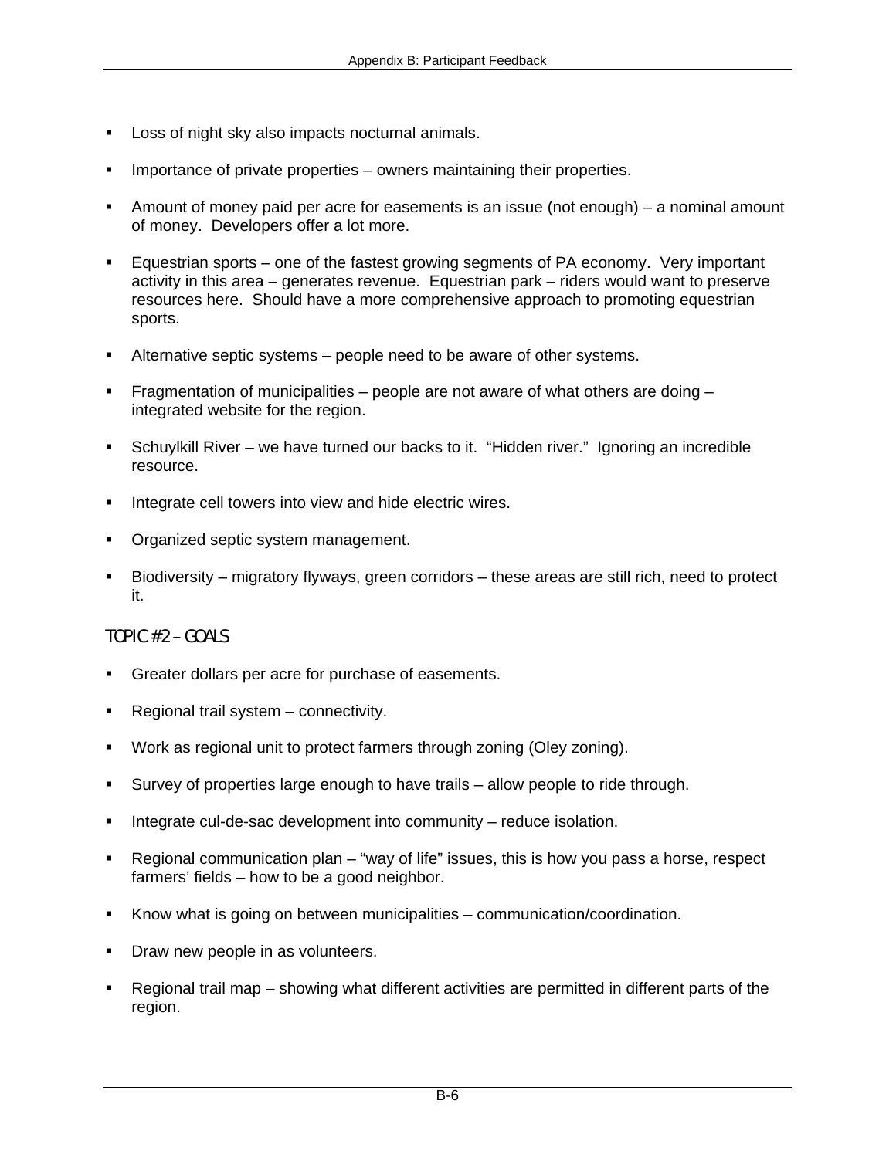- Loss of night sky also impacts nocturnal animals.
- Importance of private properties owners maintaining their properties.
- Amount of money paid per acre for easements is an issue (not enough) a nominal amount of money. Developers offer a lot more.
- Equestrian sports one of the fastest growing segments of PA economy. Very important activity in this area – generates revenue. Equestrian park – riders would want to preserve resources here. Should have a more comprehensive approach to promoting equestrian sports.
- Alternative septic systems people need to be aware of other systems.
- Fragmentation of municipalities people are not aware of what others are doing  $$ integrated website for the region.
- Schuylkill River we have turned our backs to it. "Hidden river." Ignoring an incredible resource.
- Integrate cell towers into view and hide electric wires.
- **Organized septic system management.**
- Biodiversity migratory flyways, green corridors these areas are still rich, need to protect it.

## TOPIC #2 – GOALS

- Greater dollars per acre for purchase of easements.
- Regional trail system connectivity.
- Work as regional unit to protect farmers through zoning (Oley zoning).
- Survey of properties large enough to have trails allow people to ride through.
- Integrate cul-de-sac development into community reduce isolation.
- Regional communication plan "way of life" issues, this is how you pass a horse, respect farmers' fields – how to be a good neighbor.
- Know what is going on between municipalities communication/coordination.
- Draw new people in as volunteers.
- Regional trail map showing what different activities are permitted in different parts of the region.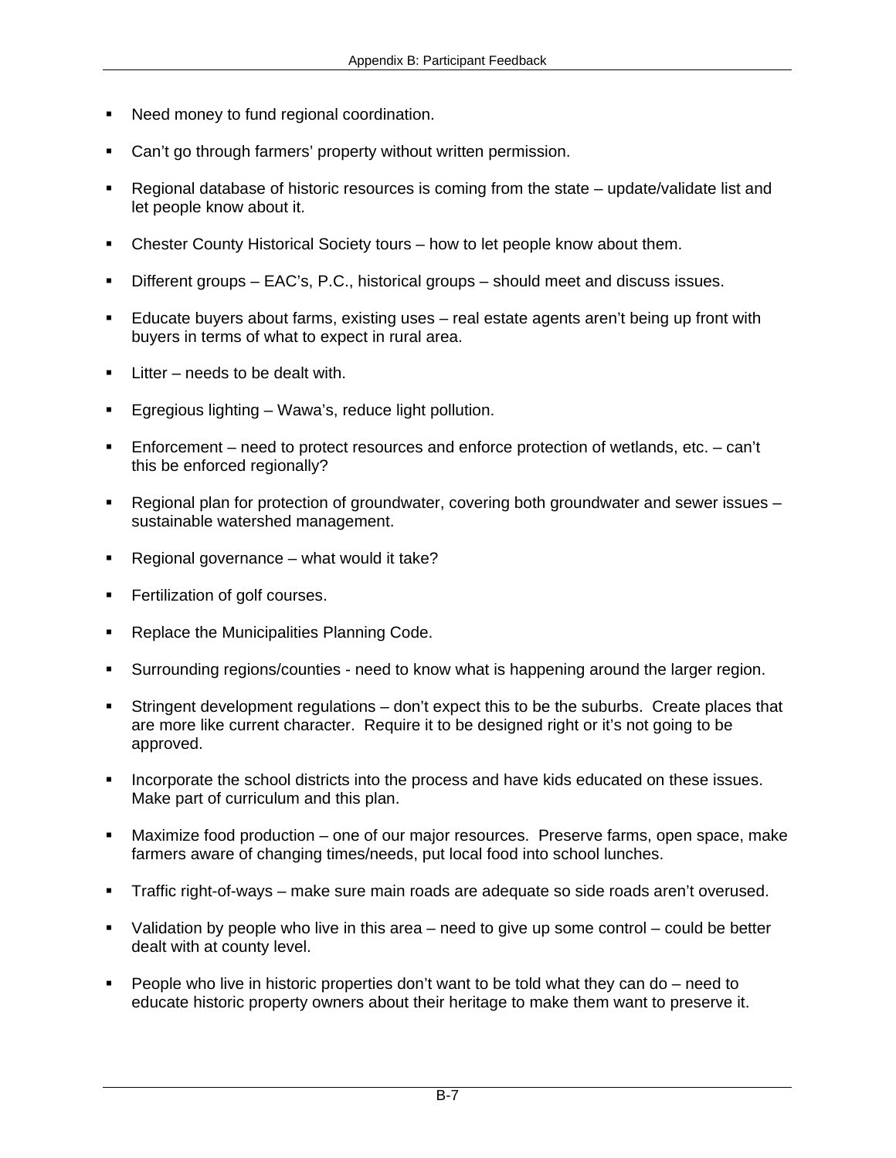- Need money to fund regional coordination.
- Can't go through farmers' property without written permission.
- Regional database of historic resources is coming from the state update/validate list and let people know about it.
- Chester County Historical Society tours how to let people know about them.
- Different groups EAC's, P.C., historical groups should meet and discuss issues.
- Educate buyers about farms, existing uses real estate agents aren't being up front with buyers in terms of what to expect in rural area.
- $\blacksquare$  Litter needs to be dealt with.
- Egregious lighting Wawa's, reduce light pollution.
- Enforcement need to protect resources and enforce protection of wetlands, etc. can't this be enforced regionally?
- Regional plan for protection of groundwater, covering both groundwater and sewer issues sustainable watershed management.
- Regional governance what would it take?
- Fertilization of golf courses.
- Replace the Municipalities Planning Code.
- Surrounding regions/counties need to know what is happening around the larger region.
- Stringent development regulations don't expect this to be the suburbs. Create places that are more like current character. Require it to be designed right or it's not going to be approved.
- Incorporate the school districts into the process and have kids educated on these issues. Make part of curriculum and this plan.
- Maximize food production one of our major resources. Preserve farms, open space, make farmers aware of changing times/needs, put local food into school lunches.
- Traffic right-of-ways make sure main roads are adequate so side roads aren't overused.
- Validation by people who live in this area need to give up some control could be better dealt with at county level.
- People who live in historic properties don't want to be told what they can do need to educate historic property owners about their heritage to make them want to preserve it.